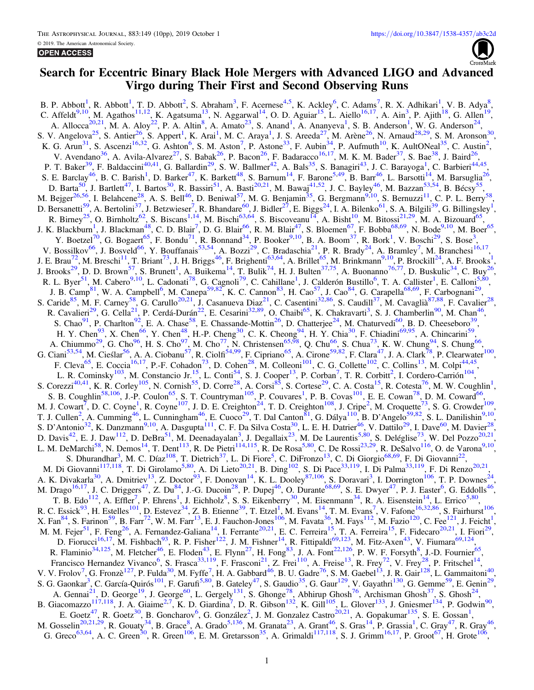# Search for Eccentric Binary Black Hole Mergers with Advanced LIGO and Advanced Virgo during Their First and Second Observing Runs

B. P. Abbott<sup>[1](#page-2-0)</sup>, R. Abbott<sup>1</sup>, T. D. Abbott<sup>[2](#page-2-0)</sup>, S. Abraham<sup>[3](#page-2-0)</sup>, F. Acernese<sup>[4,5](#page-2-0)</sup>, K. Ackley<sup>[6](#page-2-0)</sup>, C. Adams<sup>[7](#page-2-0)</sup>, R. X. Adhikari<sup>1</sup>, V. B. Adya<sup>[8](#page-2-0)</sup>, C. Affeldt<sup>[9,10](#page-2-0)</sup>, M. Agathos<sup>[11,12](#page-2-0)</sup>, K. Agatsuma<sup>13</sup>, N. Aggarwal<sup>14</sup>, O. D. Aguiar<sup>15</sup>, L. Aiello<sup>[16,17](#page-2-0)</sup>, A. Ain<sup>3</sup>, P. Ajith<sup>[18](#page-2-0)</sup>, G. Allen<sup>19</sup>, A. Allocca<sup>20,21</sup>, M. A. Aloy<sup>22</sup>, P. A. Altin<sup>[8](#page-2-0)</sup>, A. Amato<sup>[23](#page-2-0)</sup>, S. Anand<sup>[1](#page-2-0)</sup>, A. Ananyeva<sup>1</sup>, S. B. Anderson<sup>1</sup>, W. G. Anderson<sup>[24](#page-2-0)</sup>, S. V. Angelova<sup>[25](#page-2-0)</sup>, S. Antier<sup>26</sup>, S. Appert<sup>[1](#page-2-0)</sup>, K. Arai<sup>1</sup>, M. C. Araya<sup>1</sup>, J. S. Areeda<sup>27</sup>, M. Arène<sup>26</sup>, N. Arnaud<sup>28,29</sup>, S. M. Aronson<sup>[30](#page-3-0)</sup>, K. G. Arun<sup>[31](#page-3-0)</sup>, S. Ascenzi<sup>16,32</sup>, G. Ashton<sup>6</sup>, S. M. Aston<sup>[7](#page-2-0)</sup>, P. Astone<sup>[33](#page-3-0)</sup>, F. Aubin<sup>34</sup>, P. Aufmuth<sup>10</sup>, K. AultONeal<sup>35</sup>, C. Austin<sup>2</sup>, V. Avendano<sup>[36](#page-3-0)</sup>, A. Avila-Alvarez<sup>27</sup>, S. Babak<sup>26</sup>, P. Bacon<sup>26</sup>, F. Badaracco<sup>16,17</sup>, M. K. M. Bader<sup>[37](#page-3-0)</sup>, S. Bae<sup>38</sup>, J. Baird<sup>26</sup>, P. T. Baker<sup>39</sup>, F. Baldaccini<sup>[40,41](#page-3-0)</sup>, G. Ballardin<sup>29</sup>, S. W. Ballmer<sup>42</sup>, A. Bals<sup>35</sup>, S. Banagiri<sup>43</sup>, J. C. Barayoga<sup>1</sup>, C. Barbieri<sup>[44,45](#page-3-0)</sup>, S. E. Barclay<sup>46</sup>, B. C. Barish<sup>1</sup>, D. Barker<sup>[47](#page-3-0)</sup>, K. Barkett<sup>48</sup>, S. Barnum<sup>14</sup>, F. Barone<sup>5,[49](#page-3-0)</sup>, B. Barr<sup>46</sup>, L. Barsotti<sup>[14](#page-2-0)</sup>, M. Barsuglia<sup>[26](#page-3-0)</sup>, D. Barta<sup>50</sup>, J. Bartlett<sup>47</sup>, I. Bartos<sup>30</sup>, R. Bassiri<sup>[51](#page-3-0)</sup>, A. Basti<sup>20,21</sup>, M. Bawaj<sup>[41,52](#page-3-0)</sup>, J. C. Bayley<sup>46</sup>, M. Bazzan<sup>[53,54](#page-3-0)</sup>, B. Bécsy<sup>55</sup>, M. Bejger<sup>[26,56](#page-3-0)</sup>, I. Belahcene<sup>28</sup>, A. S. Bell<sup>46</sup>, D. Beniwal<sup>57</sup>, M. G. Benjamin<sup>35</sup>, G. Bergmann<sup>9,10</sup>, S. Bernuzzi<sup>11</sup>, C. P. L. Berry<sup>58</sup>, D. Bersanetti<sup>59</sup>, A. Bertolini<sup>3[7](#page-2-0)</sup>, J. Betzwieser<sup>7</sup>, R. Bhandare<sup>60</sup>, J. Bidler<sup>[27](#page-3-0)</sup>, E. Biggs<sup>24</sup>, I. A. Bilenko<sup>61</sup>, S. A. Bilgili<sup>[39](#page-3-0)</sup>, G. Billingsley<sup>[1](#page-2-0)</sup>, R. Birney<sup>[25](#page-2-0)</sup>, O. Birnholtz<sup>62</sup>, S. Biscans<sup>1,14</sup>, M. Bischi<sup>63,64</sup>, S. Biscoveanu<sup>14</sup>, A. Bisht<sup>10</sup>, M. Bitossi<sup>21,29</sup>, M. A. Bizouard<sup>[65](#page-3-0)</sup>, J. K. Blackburn<sup>[1](#page-2-0)</sup>, J. Blackman<sup>[48](#page-3-0)</sup>, C. D. Blair<sup>7</sup>, D. G. Blair<sup>[66](#page-3-0)</sup>, R. M. Blair<sup>47</sup>, S. Bloemen<sup>67</sup>, F. Bobba<sup>[68,69](#page-3-0)</sup>, N. Bode<sup>[9,10](#page-2-0)</sup>, M. Boer<sup>[65](#page-3-0)</sup>, Y. Boetzel<sup>[70](#page-3-0)</sup>, G. Bogaert<sup>65</sup>, F. Bondu<sup>71</sup>, R. Bonnand<sup>34</sup>, P. Booker<sup>9,10</sup>, B. A. Boom<sup>37</sup>, R. Bork<sup>1</sup>, V. Boschi<sup>[29](#page-3-0)</sup>, S. Bose<sup>3</sup>, V. Bossilkov<sup>66</sup>, J. Bosveld<sup>66</sup>, Y. Bouffanais<sup>53,54</sup>, A. Bozzi<sup>29</sup>, C. Bradaschia<sup>21</sup>, P. R. Brady<sup>24</sup>, A. Bramley<sup>[7](#page-2-0)</sup>, M. Branchesi<sup>[16,17](#page-2-0)</sup>, J. E. Brau<sup>72</sup>, M. Breschi<sup>11</sup>, T. Briant<sup>[73](#page-3-0)</sup>, J. H. Briggs<sup>46</sup>, F. Brighenti<sup>63,64</sup>, A. Brillet<sup>65</sup>, M. Brinkmann<sup>9,[1](#page-2-0)0</sup>, P. Brockill<sup>24</sup>, A. F. Brooks<sup>1</sup>, J. Brooks<sup>29</sup>, D. D. Brown<sup>57</sup>, S. Brunett<sup>1</sup>, A. Buikema<sup>14</sup>, T. Bulik<sup>74</sup>, H. J. Bulten<sup>37,75</sup>, A. Buonanno<sup>76,77</sup>, D. Buskulic<sup>34</sup>, C. Buy<sup>[26](#page-3-0)</sup>, R. L. Byer<sup>[51](#page-3-0)</sup>, M. Cabero<sup>9,10</sup>, L. Cadonati<sup>78</sup>, G. Cagnoli<sup>79</sup>, C. Cahillane<sup>1</sup>, J. Calderón Bustillo<sup>[6](#page-2-0)</sup>, T. A. Callister<sup>[1](#page-2-0)</sup>, E. Calloni<sup>[5,](#page-2-0)[80](#page-3-0)</sup>, J. B. Camp<sup>81</sup>, W. A. Campbell<sup>6</sup>, M. Canepa<sup>59,82</sup>, K. C. Cannon<sup>83</sup>, H. Cao<sup>57</sup>, J. Cao<sup>84</sup>, G. Carapella<sup>68,69</sup>, F. Carbognani<sup>29</sup>, S. Caride<sup>[85](#page-3-0)</sup>, M. F. Carney<sup>58</sup>, G. Carullo<sup>20,21</sup>, J. Casanueva Diaz<sup>21</sup>, C. Casentini<sup>32,86</sup>, S. Caudill<sup>37</sup>, M. Cavaglià<sup>87,88</sup>, F. Cavalier<sup>[28](#page-3-0)</sup>, R. Cavalieri<sup>29</sup>, G. Cella<sup>21</sup>, P. Cerdá-Durán<sup>[22](#page-2-0)</sup>, E. Cesarini<sup>32,89</sup>, O. Chaibi<sup>[65](#page-3-0)</sup>, K. Chakravarti<sup>[3](#page-2-0)</sup>, S. J. Chamberlin<sup>90</sup>, M. Chan<sup>46</sup>, S. Chao<sup>[91](#page-3-0)</sup>, P. Charlton<sup>92</sup>, E. A. Chase<sup>[58](#page-3-0)</sup>, E. Chassande-Mottin<sup>26</sup>, D. Chatterjee<sup>24</sup>, M. Chaturvedi<sup>60</sup>, B. D. Cheeseboro<sup>39</sup>, H. Y. Chen<sup>93</sup>, X. Chen<sup>66</sup>, Y. Chen<sup>48</sup>, H.-P. Cheng<sup>30</sup>, C. K. Cheong<sup>94</sup>, H. Y. Chia<sup>30</sup>, F. Chiadini<sup>69,95</sup>, A. Chincarini<sup>59</sup>, A. Chiummo<sup>29</sup>, G. Cho<sup>96</sup>, H. S. Cho<sup>97</sup>, M. Cho<sup>77</sup>, N. Christensen<sup>65,58</sup>, Q. Chu<sup>[66](#page-3-0)</sup>, S. Chua<sup>[73](#page-3-0)</sup>, K. W. Chung<sup>94</sup>, S. Chung<sup>66</sup>, G. Ciani<sup>[53,54](#page-3-0)</sup>, M. Cieślar<sup>56</sup>, A. A. Ciobanu<sup>[57](#page-3-0)</sup>, R. Ciolfi<sup>[54,99](#page-3-0)</sup>, F. Cipriano<sup>65</sup>, A. Cirone<sup>59,82</sup>, F. Clara<sup>[47](#page-3-0)</sup>, J. A. Clark<sup>78</sup>, P. Clearwater<sup>[100](#page-3-0)</sup>, F. Cleva<sup>65</sup>, E. Coccia<sup>[16,17](#page-2-0)</sup>, P.-F. Cohadon<sup>73</sup>, D. Cohen<sup>28</sup>, M. Colleoni<sup>101</sup>, C. G. Collette<sup>[102](#page-4-0)</sup>, C. Collins<sup>13</sup>, M. Colpi<sup>44,45</sup>, L. R. Cominsky<sup>[103](#page-4-0)</sup>, M. Constancio Jr.<sup>15</sup>, L. Conti<sup>54</sup>, S. J. Cooper<sup>[13](#page-2-0)</sup>, P. Corban<sup>[7](#page-2-0)</sup>, T. R. Corbitt<sup>[2](#page-2-0)</sup>, I. Cordero-Carrión<sup>104</sup>, S. Corezzi<sup>[40,41](#page-3-0)</sup>, K. R. Corley<sup>[105](#page-4-0)</sup>, N. Cornish<sup>[55](#page-3-0)</sup>, D. Corre<sup>28</sup>, A. Corsi<sup>85</sup>, S. Cortese<sup>29</sup>, C. A. Costa<sup>15</sup>, R. Cotesta<sup>[76](#page-3-0)</sup>, M. W. Coughlin<sup>[1](#page-2-0)</sup>, S. B. Coughlin<sup>[58,](#page-3-0)106</sup>, J.-P. Coulon<sup>65</sup>, S. T. Countryman<sup>105</sup>, P. Couvares<sup>1</sup>, P. B. Covas<sup>101</sup>, E. E. Cowan<sup>78</sup>, D. M. Coward<sup>66</sup>, M. J. Cowart<sup>[7](#page-2-0)</sup>, D. C. Coyne<sup>[1](#page-2-0)</sup>, R. Coyne<sup>107</sup>, J. D. E. Creighton<sup>24</sup>, T. D. Creighton<sup>[108](#page-4-0)</sup>, J. Cripe<sup>2</sup>, M. Croquette<sup>73</sup>, S. G. Crowder<sup>[109](#page-4-0)</sup>, T. J. Cullen<sup>[2](#page-2-0)</sup>, A. Cumming<sup>[46](#page-3-0)</sup>, L. Cunningham<sup>46</sup>, E. Cuoco<sup>29</sup>, T. Dal Canton<sup>81</sup>, G. Dálya<sup>[110](#page-4-0)</sup>, B. D'Angelo<sup>59,82</sup>, S. L. Danilishin<sup>[9,10](#page-2-0)</sup>, S. D'Antonio<sup>[32](#page-3-0)</sup>, K. Danzmann<sup>9,10</sup>, A. Dasgupta<sup>111</sup>, C. F. Da Silva Costa<sup>30</sup>, L. E. H. Datrier<sup>46</sup>, V. Dattilo<sup>29</sup>, I. Dave<sup>60</sup>, M. Davier<sup>[28](#page-3-0)</sup>, D. Davis<sup>42</sup>, E. J. Daw<sup>[112](#page-4-0)</sup>, D. DeBra<sup>51</sup>, M. Deenadayalan<sup>[3](#page-2-0)</sup>, J. Degallaix<sup>[23](#page-2-0)</sup>, M. De Laurentis<sup>[5,](#page-2-0)[80](#page-3-0)</sup>, S. Deléglise<sup>73</sup>, W. Del Pozzo<sup>[20,21](#page-2-0)</sup>, L. M. DeMarchi<sup>[58](#page-3-0)</sup>, N. Demos<sup>14</sup>, T. Dent<sup>113</sup>, R. De Pietri<sup>1[14,](#page-2-0)115</sup>, R. De Rosa<sup>5,80</sup>, C. De Rossi<sup>23,[29](#page-3-0)</sup>, R. DeSalvo<sup>116</sup>, O. de Varona<sup>[9,10](#page-2-0)</sup>, S. Dhurandhar<sup>[3](#page-2-0)</sup>, M. C. Díaz<sup>108</sup>, T. Dietrich<sup>37</sup>, L. Di Fiore<sup>[5](#page-2-0)</sup>, C. DiFronzo<sup>13</sup>, C. Di Giorgio<sup>68,69</sup>, F. Di Giovanni<sup>22</sup>, M. Di Giovanni<sup>117,118</sup>, T. Di Girolamo<sup>5,80</sup>, A. Di Lieto<sup>[20,21](#page-2-0)</sup>, B. Ding<sup>102</sup>, S. Di Pace<sup>[33,](#page-3-0)119</sup>, I. Di Palma<sup>33,119</sup>, F. Di Renzo<sup>20,21</sup>, A. K. Divakarla<sup>[30](#page-3-0)</sup>, A. Dmitriev<sup>13</sup>, Z. Doctor<sup>93</sup>, F. Donovan<sup>14</sup>, K. L. Dooley<sup>87,106</sup>, S. Doravari<sup>3</sup>, I. Dorrington<sup>106</sup>, T. P. Downes<sup>[24](#page-2-0)</sup>, M. Drago<sup>16,17</sup>, J. C. Driggers<sup>47</sup>, Z. Du<sup>84</sup>, J.-G. Ducoin<sup>28</sup>, P. Dupej<sup>46</sup>, O. Durante<sup>[68,69](#page-3-0)</sup>, S. E. Dwyer<sup>47</sup>, P. J. Easter<sup>6</sup>, G. Eddolls<sup>[46](#page-3-0)</sup>, T. B. Edo<sup>112</sup>, A. Effler<sup>[7](#page-2-0)</sup>, P. Ehrens<sup>[1](#page-2-0)</sup>, J. Eichholz<sup>[8](#page-2-0)</sup>, S. S. Eikenberry<sup>30</sup>, M. Eisenmann<sup>34</sup>, R. A. Eisenstein<sup>14</sup>, L. Errico<sup>[5,](#page-2-0)80</sup>, R. C. Essick<sup>[93](#page-3-0)</sup>, H. Estelles<sup>[1](#page-2-0)01</sup>, D. Estevez<sup>34</sup>, Z. B. Etienne<sup>39</sup>, T. Etzel<sup>1</sup>, M. Evans<sup>14</sup>, T. M. Evans<sup>7</sup>, V. Fafone<sup>[16,](#page-2-0)[32,86](#page-3-0)</sup>, S. Fairhurst<sup>[106](#page-4-0)</sup>, X. Fan $^{84}$ , S. Farinon<sup>59</sup>, B. Farr<sup>72</sup>, W. M. Farr<sup>13</sup>, E. J. Fauchon-Jones<sup>[106](#page-4-0)</sup>, M. Favata<sup>[36](#page-3-0)</sup>, M. Fays<sup>112</sup>, M. Fazio<sup>[120](#page-4-0)</sup>, C. Fee<sup>[1](#page-2-0)21</sup>, J. Feicht<sup>1</sup>, M. M. Fejer<sup>51</sup>, F. Feng<sup>26</sup>, A. Fernandez-Galiana<sup>14</sup>, I. Ferrante<sup>[20,21](#page-2-0)</sup>, E. C. Ferreira<sup>15</sup>, T. A. Ferreira<sup>15</sup>, F. Fidecaro<sup>20,21</sup>, I. Fiori<sup>29</sup>, D. Fiorucci<sup>[16,17](#page-2-0)</sup>, M. Fishbach<sup>93</sup>, R. P. Fisher<sup>122</sup>, J. M. Fishner<sup>[14](#page-2-0)</sup>, R. Fittipaldi<sup>[69,](#page-3-0)[123](#page-4-0)</sup>, M. Fitz-Axen<sup>43</sup>, V. Fiumara<sup>69,124</sup>, R. Flaminio<sup>[34,](#page-3-0)125</sup>, M. Fletcher<sup>[46](#page-3-0)</sup>, E. Floden<sup>[43](#page-3-0)</sup>, E. Flynn<sup>27</sup>, H. Fong<sup>83</sup>, J. A. Font<sup>[22,](#page-2-0)[126](#page-4-0)</sup>, P. W. F. Forsyth<sup>8</sup>, J.-D. Fournier<sup>[65](#page-3-0)</sup>, Francisco Hernandez Vivanco<sup>[6](#page-2-0)</sup>, S. Frasca<sup>[33,](#page-3-0)[119](#page-4-0)</sup>, F. Frasconi<sup>21</sup>, Z. Frei<sup>110</sup>, A. Freise<sup>13</sup>, R. Frey<sup>72</sup>, V. Frey<sup>28</sup>, P. Fritschel<sup>14</sup>, V. V. Frolov<sup>[7](#page-2-0)</sup>, G. Fronzè<sup>[127](#page-4-0)</sup>, P. Fulda<sup>30</sup>, M. Fyffe<sup>7</sup>, H. A. Gabbard<sup>46</sup>, B. U. Gadre<sup>76</sup>, S. M. Gaebel<sup>13</sup>, J. R. Gair<sup>128</sup>, L. Gammaitoni<sup>[40](#page-3-0)</sup>, S. G. Gaonkar<sup>[3](#page-2-0)</sup>, C. García-Quirós<sup>[101](#page-4-0)</sup>, F. Garufi<sup>[5,](#page-2-0)80</sup>, B. Gateley<sup>47</sup>, S. Gaudio<sup>35</sup>, G. Gaur<sup>129</sup>, V. Gayathri<sup>130</sup>, G. Gemme<sup>[59](#page-3-0)</sup>, E. Genin<sup>[29](#page-3-0)</sup>, A. Gennai<sup>[21](#page-2-0)</sup>, D. George<sup>19</sup>, J. George<sup>60</sup>, L. Gergely<sup>131</sup>, S. Ghonge<sup>78</sup>, Abhirup Ghosh<sup>76</sup>, Archisman Ghosh<sup>37</sup>, S. Ghosh<sup>24</sup>, B. Giacomazzo<sup>[117,118](#page-4-0)</sup>, J. A. Giaime<sup>[2,7](#page-2-0)</sup>, K. D. Giardina<sup>[7](#page-2-0)</sup>, D. R. Gibson<sup>[132](#page-4-0)</sup>, K. Gill<sup>105</sup>, L. Glover<sup>133</sup>, J. Gniesmer<sup>[134](#page-4-0)</sup>, P. Godwin<sup>90</sup>, E. Goetz<sup>47</sup>, R. Goetz<sup>[30](#page-3-0)</sup>, B. Goncharov<sup>[6](#page-2-0)</sup>, G. González<sup>[2](#page-2-0)</sup>, J. M. Gonzalez Castro<sup>20,2[1](#page-2-0)</sup>, A. Gopakumar<sup>135</sup>, S. E. Gossan<sup>1</sup>, M. Gosselin<sup>[20,21,](#page-2-0)[29](#page-3-0)</sup>, R. Gouaty<sup>[34](#page-3-0)</sup>, B. Grace<sup>8</sup>, A. Grado<sup>[5,](#page-2-0)[136](#page-4-0)</sup>, M. Granata<sup>23</sup>, A. Grant<sup>46</sup>, S. Gras<sup>[1](#page-2-0)4</sup>, P. Grassia<sup>1</sup>, C. Gray<sup>47</sup>, R. Gray<sup>[46](#page-3-0)</sup>, G. Greco<sup>[63,64](#page-3-0)</sup>, A. C. Green<sup>[30](#page-3-0)</sup>, R. Green<sup>106</sup>, E. M. Gretarsson<sup>35</sup>, A. Grimaldi<sup>[117,118](#page-4-0)</sup>, S. J. Grimm<sup>16,17</sup>, P. Groot<sup>67</sup>, H. Grote<sup>106</sup>,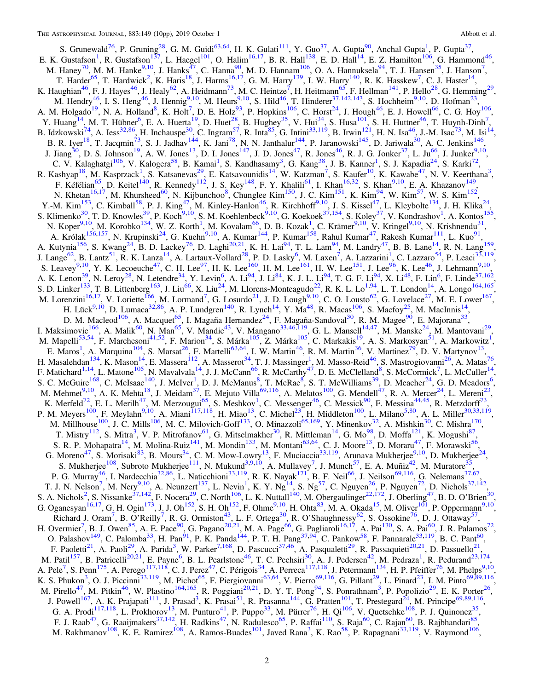S. Grunewald<sup>76</sup>, P. Gruning<sup>28</sup>, G. M. Guidi<sup>63,64</sup>, H. K. Gulati<sup>111</sup>, Y. Guo<sup>37</sup>, A. Gupta<sup>90</sup>, Anchal Gupta<sup>1</sup>, P. Gupta<sup>37</sup>,<br>E. K. Gustafson<sup>1</sup>, R. Gustafson<sup>137</sup>, L. Haegel<sup>101</sup>, O. Halim<sup>16,17</sup>, B. R. Hall<sup>138</sup>, E. A. M. Hogato 1, N. A. Honald 1, K. Hot 19. E. Hotz, 1. Hopkins 1, C. Host 1, J. Hogat 1, E. J. Howch 1, C. G. Hoy<br>
Y. Huang<sup>14</sup>, M. T. Hübner<sup>6</sup>, E. A. Huerta<sup>19</sup>, D. Huer<sup>28</sup>, B. Hughey<sup>35</sup>, V. Hui<sup>34</sup>, S. Husa<sup>101</sup>, S. C. V. Kalaghatgi<sup>106</sup>, V. Kalogera<sup>58</sup>, B. Kamai<sup>1</sup>, S. Kandhasamy<sup>3</sup>, G. Kang<sup>38</sup>, J. B. Kanner<sup>1</sup>, S. J. Kapadia<sup>24</sup>, S. Karki<sup>72</sup>, R. Kashyap<sup>18</sup>, M. Kasprzack<sup>1</sup>, S. Katsanevas<sup>29</sup>, E. Katsavounidis<sup>14</sup>, W. Katzman<sup>7</sup>, S. Kaufer<sup>10</sup>, K. Kawabe<sup>47</sup>, N. V. Keerthana<sup>3</sup>, F. Kéfélian<sup>65</sup>, D. Keitel<sup>140</sup>, R. Kennedy<sup>112</sup>, J. S. Key<sup>148</sup>, F. Y. Khalili<sup>61</sup> N. Khetan<sup>16,17</sup>, M. Khursheed<sup>60</sup>, N. Kijbunchoo<sup>8</sup>, Chunglee Kim<sup>150</sup>, J. C. Kim<sup>151</sup>, K. Kim<sup>94</sup>, W. Kim<sup>57</sup>, W. S. Kim<sup>152</sup>, N. Khetan<sup>1974</sup>', M. Khursheed<sup>'</sup>', N. Kijbunchoo'', Chunglee Kim<sup>1974</sup>', J. C. Kim<sup>394</sup>, W. Kim<sup>394</sup>, W. S. Kim<sup>132</sup>,<br>
Y.-M. Kim<sup>153</sup>, C. Kimball<sup>58</sup>, P. J. King<sup>47</sup>, M. Kinley-Hanlon<sup>46</sup>, R. Kirchhoff<sup>9,10</sup>, J. S. Kisse S. Leavey<sup>5,10</sup>, Y. K. Lecouche<sup>27</sup>, C. H. Lee<sup>57</sup>, H. K. Lee<sup>103</sup>, H. M. Lee<sup>103</sup>, H. W. Lee<sup>13</sup>, J. Lee<sup>76</sup>, K. Lee<sup>76</sup>, K. Lee<sup>13</sup>, J. Lehmann<sup>5,10</sup>,<br>A. K. Lenon<sup>39</sup>, N. Leroy<sup>28</sup>, N. Letendre<sup>34</sup>, Y. Levin<sup>6</sup>, A. Li<sup>9</sup> E. Matos, A. Maquina 134, K. Matsat 1, F. Matten 1, I. W. Mattin 1, K. M. Mattin 1, V. Mattinez 1, D. V. Mattynov<br>
H. Masalehdan<sup>134</sup>, K. Mason<sup>14</sup>, E. Massera<sup>112</sup>, A. Masserot<sup>34</sup>, T. J. Massinger<sup>1</sup>, M. Masso-Reid<sup>46</sup>, K. Merfeld<sup>72</sup>, E. L. Merilh<sup>47</sup>, M. Merzougui<sup>65</sup>, S. Meshkov<sup>1</sup>, C. Messenger<sup>46</sup>, C. Messick<sup>90</sup>, F. Messina<sup>44,45</sup>, R. Metzdorff<sup>73</sup>,<br>P. M. Meyers<sup>100</sup>, F. Meylahn<sup>9,10</sup>, A. Miani<sup>117,118</sup>, H. Miao<sup>13</sup>, C. Michel<sup>23</sup>, T. Mistry<sup>112</sup>, S. Mitra<sup>3</sup>, V. P. Mitrofanov<sup>61</sup>, G. Mitselmakher<sup>30</sup>, R. Mittleman<sup>14</sup>, G. Mo<sup>98</sup>, D. Moffa<sup>121</sup>, K. Mogushi<sup>87</sup>,<br>S. R. P. Mohapatra<sup>14</sup>, M. Molina-Ruiz<sup>141</sup>, M. Mondin<sup>133</sup>, M. Montani<sup>63,64</sup>, C. J. Moo T. J. N. Nelson<sup>7</sup>, M. Nery<sup>9,10</sup>, A. Neunzert<sup>137</sup>, L. Nevin<sup>1</sup>, K. Y. Ng<sup>14</sup>, S. Ng<sup>57</sup>, C. Nguyen<sup>26</sup>, P. Nguyen<sup>72</sup>, D. Nichols<sup>37,142</sup>, S. A. Nichols<sup>2</sup>, S. Nissanke<sup>37,142</sup>, F. Nocera<sup>29</sup>, C. North<sup>106</sup>, L. K. Nutta G. Oganesyan (G. H. Ogin (G. H. Omiston<sup>43</sup>, L. F. Ortega<sup>30</sup>, R. O'Shaughnessy<sup>62</sup>, S. Ossokine<sup>76</sup>, D. J. Ottaway<sup>57</sup>,<br>H. Overmier<sup>7</sup>, B. J. Owen<sup>85</sup>, A. E. Pace<sup>90</sup>, G. Pagano<sup>20,21</sup>, M. A. Page<sup>66</sup>, G. Pagliaroli<sup>16,1</sup> F. Faolien A. Faoli, A. Faolia, W. Faiker (a. D. Fascucci , A. Fasquaetu , K. Fassaquetu , D. Passuello M. Patil<sup>157</sup>, B. Patricelli<sup>20,21</sup>, E. Payne<sup>6</sup>, B. L. Pearlstone<sup>46</sup>, T. C. Pechsiri<sup>30</sup>, A. J. Pedersen<sup>42</sup>, M. Pe J. Powell<sup>167</sup>, A. K. Prajapati<sup>111</sup>, J. Prasad<sup>3</sup>, K. Prasai<sup>51</sup>, R. Prasanna<sup>144</sup>, G. Pratten<sup>101</sup>, T. Prestegard<sup>24</sup>, M. Principe<sup>69,89,116</sup>, G. A. Prodi<sup>117,118</sup>, L. Prokhorov<sup>13</sup>, M. Punturo<sup>41</sup>, P. Puppo<sup>33</sup>, M. Pürrer<sup>76</sup>, H. Qi<sup>106</sup>, V. Quetschke<sup>108</sup>, P. J. Quinonez<sup>35</sup>, F. J. Raab<sup>47</sup>, G. Raaijmakers<sup>37,142</sup>, H. Radkins<sup>47</sup>, N. Radulesco<sup>65</sup>, P. Raffai<sup>1</sup> M. Rakhmanov<sup>108</sup>, K. E. Ramirez<sup>108</sup>, A. Ramos-Buades<sup>101</sup>, Javed Rana<sup>3</sup>, K. Rao<sup>58</sup>, P. Rapagnani<sup>33,119</sup>, V. Raymond<sup>106</sup>,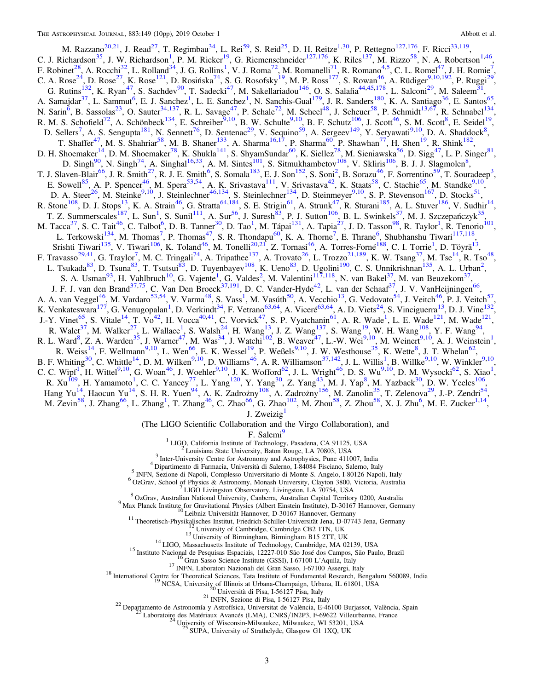<span id="page-2-0"></span>M. Razzano<sup>20,21</sup>, J. Read<sup>27</sup>, T. Regimbau<sup>34</sup>, L. Rei<sup>59</sup>, S. Reid<sup>25</sup>, D. H. Reitze<sup>1,30</sup>, P. Rettegno<sup>127,176</sup>, F. Ricci<sup>33,119</sup>, C. J. Richardson<sup>35</sup>, J. W. Richardson<sup>1</sup>, P. M. Ricker<sup>19</sup>, G. Riemenschneider<sup>127,176</sup>, K. Riles<sup>137</sup>, M. Rizzo<sup>58</sup>, N. A. Robertson<sup>1,46</sup>,<br>F. Robinet<sup>28</sup>, A. Rocchi<sup>32</sup>, L. Rolland<sup>34</sup>, J. G. Rollins<sup>1</sup>, V. J. Roma<sup>72</sup> C. A. Rose J. Rose J. R. Rose J. R. Rose J. D. Rosniska J. S. C. Rosorsky J. W. F. Ross J. S. Roward J. A. Rudget 37, K. Ryan<sup>47</sup>, S. Sachdev<sup>90</sup>, T. Sadecki<sup>47</sup>, M. Sakellariadou<sup>146</sup>, O. S. Salafia<sup>44,45,178</sup>, L. Salcon A. Sanaguar , L. Sanumu , E. J. Sanchez , L. E. Sanchez , N. Sanche-Guar , J. K. Sancers , K. A. Santuago , E. Santos<br>
N. Sarin<sup>6</sup>, B. Sassolas<sup>23</sup>, O. Sauter<sup>34,137</sup>, R. L. Savage<sup>47</sup>, P. Schale<sup>72</sup>, M. Scheel<sup>48</sup>, J. Sc D. H. Shoemaker<sup>1,3</sup>, D. M. Shoemaker<sup>1,3</sup>, K. Shukla<sup>141</sup>, S. ShyamSundar<sup>50</sup>, K. Siellez<sup>16</sup>, M. Sieniawska<sup>20</sup>, D. Sigg<sup>-1</sup>, L. P. Singer<sup>51</sup>,<br>D. Singh<sup>90</sup>, N. Singh<sup>74</sup>, A. Singhal<sup>16,33</sup>, A. M. Sintes<sup>101</sup>, S. Sitmuk L. Terkowski<sup>134</sup>, M. Thomas<sup>7</sup>, P. Thomas<sup>47</sup>, S. R. Thondapu<sup>60</sup>, K. A. Thorne<sup>7</sup>, E. Thrane<sup>6</sup>, Shubhanshu Tiwari<sup>117,118</sup>, L. Terkowski<sup>134</sup>, M. Thomas<sup>7</sup>, P. Thomas<sup>47</sup>, S. R. Thondapu<sup>60</sup>, K. A. Thome<sup>7</sup>, E. Thrane<sup>6</sup>, Shubhanshu Tiwari<sup>117,118</sup>,<br>
F. Travaso<sup>29,41</sup>, G. Trava<sup>51</sup>, M. Tomas<sup>174</sup>, A. Trapathe<sup>137,</sup> A. Trovaschi<sup>64</sup>, M. Tomas<sup>1</sup> B. F. Whiting<sup>30</sup>, C. Whittle<sup>14</sup>, D. M. Wilken<sup>9,10</sup>, D. Williams<sup>46</sup>, A. R. Williamson<sup>37,142</sup>, J. L. Willis<sup>1</sup>, B. Willke<sup>9,10</sup>, W. Winkler<sup>9,10</sup> **E.** F. Whiling , C. While , D. M. Wiken , D. Williams , A. K. Williamson , J. L. Wills , B. Wilke , W. Winklet , C. C. C. Wipf<sup>1</sup>, H. Wittel<sup>9,10</sup>, G. Woan<sup>46</sup>, J. Woehler<sup>9,10</sup>, J. K. Wofford<sup>62</sup>, J. L. Wright<sup>46</sup>, D. S

J. Zweizig<sup>1</sup>

(The LIGO Scientific Collaboration and the Virgo Collaboration), and

F. Salemi

<sup>1</sup> LIGO, California Institute of Technology, Pasadena, CA 91125, USA

Louisiana State University, Baton Rouge, LA 70803, USA

<sup>3</sup> Inter-University Centre for Astronomy and Astrophysics, Pune 411007, India

<sup>4</sup> Dipartimento di Farmacia, Università di Salerno, I-84084 Fisciano, Salerno, Italy

<sup>5</sup> INFN, Sezione di Napoli, Complesso Universitario di Monte S. Angelo, I-80126 Napoli, Italy

<sup>6</sup> OzGrav, School of Physics & Astronomy, Monash University, Clayton 3800, Victoria, Australia

LIGO Livingston Observatory, Livingston, LA 70754, USA

 $^8$  OzGrav, Australian National University, Canberra, Australian Capital Territory 0200, Australia

9<br>Max Planck Institute for Gravitational Physics (Albert Einstein Institute), D-30167 Hannover, Germany<br><sup>10</sup> Leibniz Universität Hannover, D-30167 Hannover, Germany

<sup>11</sup> Theoretisch-Physikalisches Institut, Friedrich-Schiller-Universität Jena, D-07743 Jena, Germany<br><sup>12</sup> University of Cambridge, Cambridge CB2 1TN, UK

<sup>13</sup> University of Birmingham, Birmingham B15 2TT, UK

<sup>14</sup> LIGO, Massachusetts Institute of Technology, Cambridge, MA 02139, USA

<sup>15</sup> Instituto Nacional de Pesquisas Espaciais, 12227-010 São José dos Campos, São Paulo, Brazil

<sup>16</sup> Gran Sasso Science Institute (GSSI), I-67100 L'Aquila, Italy

<sup>17</sup> INFN, Laboratori Nazionali del Gran Sasso, I-67100 Assergi, Italy

<sup>18</sup> International Centre for Theoretical Sciences, Tata Institute of Fundamental Research, Bengaluru 560089, India

NCSA, University of Illinois at Urbana-Champaign, Urbana, IL 61801, USA<br>20 Università di Pisa, I-56127 Pisa, Italy

<sup>21</sup> INFN, Sezione di Pisa, I-56127 Pisa, Italy

<sup>22</sup> Departamento de Astronomía y Astrofísica, Universitat de València, E-46100 Burjassot, València, Spain

 $^{23}$  Laboratoire des Matériaux Avancés (LMA), CNRS/IN2P3, F-69622 Villeurbanne, France

University of Wisconsin-Milwaukee, Milwaukee, WI 53201, USA

SUPA, University of Strathclyde, Glasgow G1 1XQ, UK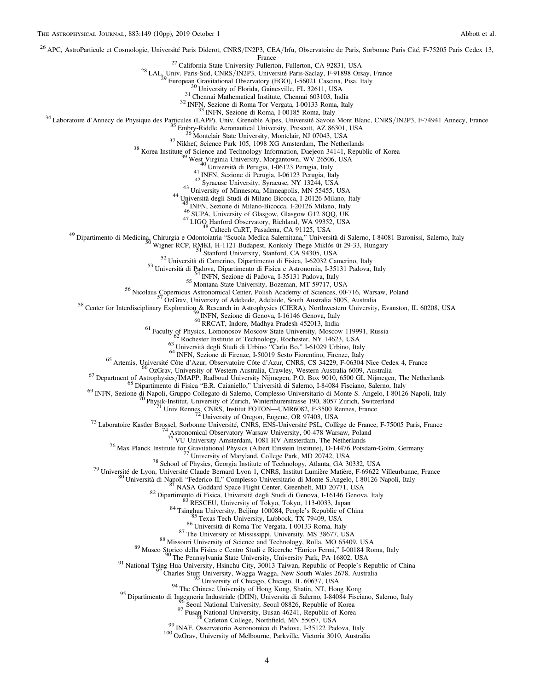<span id="page-3-0"></span><sup>26</sup> APC, AstroParticule et Cosmologie, Université Paris Diderot, CNRS/IN2P3, CEA/Irfu, Observatoire de Paris, Sorbonne Paris Cité, F-75205 Paris Cedex 13,<br>France

<sup>27</sup> California State University Fullerton, CA 92831, USA<br>
<sup>28</sup> LAL<sub>3</sub>Univ, Paris-Sud, CNRS/N2P3, Universite Paris-Sackay, F-91898 Orsay, France<br>
<sup>28</sup> LAL<sub>3</sub>University of Florida, Gainesville, FL 32611, USA<br>
<sup>31</sup> Universi

<sup>46</sup> Life) (FA, Liniversity of Ghageov Gilas (FA, Life) (FA, Life) (FA, Life) (Fa, Life) (Fa, Chindred Observatory, Richland, CA 99352, USA<br>
<sup>46</sup> LiGO Hanford Observatory, Richland, WA 99352, USA<br>
<sup>49</sup> Dipartimento di Med

<sup>75</sup> VU University Amsterdam, 1081 HV Amsterdam, The Netherlands<br>
<sup>75</sup> VU University of Marylation and Physics (Albert Einstein Institute, D-14476 Potasdam-Golm, Germany<br>
<sup>78</sup> School of Physics, Georgia Institute of Techn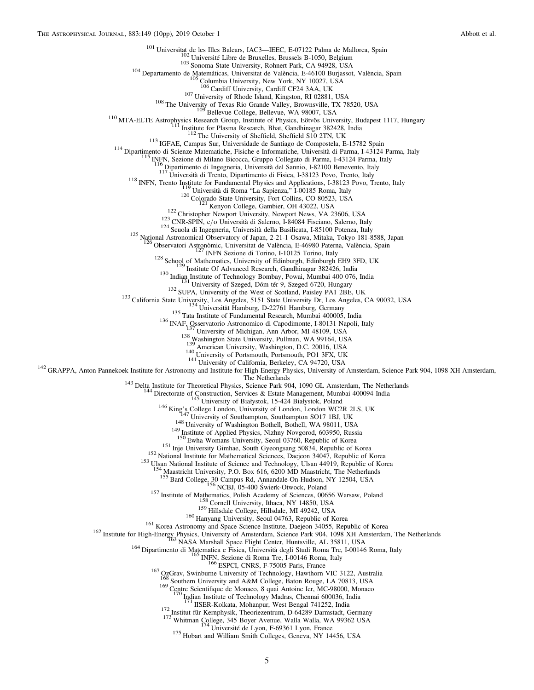<span id="page-4-0"></span><sup>101</sup> Universitat de les Illes Balears, IAC3—IEEC, E-07122 Palma de Mallorca, Spain<br><sup>102</sup> Université Libre de Bruxelles, Brussels B-1050, Belgium<br><sup>103</sup> Sonoma State University, Rohnert Park, CA 94928, USA<br><sup>104</sup> Departamen <sup>107</sup> University of Rhode Island, Kingston, RI 02881, USA<br><sup>108</sup> The University of Texas Rio Grande Valley, Brownsville, TX 78520, USA<br><sup>108</sup> The University of Texas Rio Grande Valley, Brownsville, TX 78520, USA<br><sup>110</sup> MTA-EL <sup>118</sup> INFN, Trento Institute for Fundamental Physics and Applications, I-38123 Povo, Trento, Italy<br>
<sup>119</sup> Università di Roma "La Sapienza," I-00185 Roma, Italy<br>
<sup>120</sup> Colorado State University, Fort Collins, CO 80523, USA <sup>127</sup> INFN Sezione di Torino, 1-10125 Torino, Italy<br><sup>127</sup> ISBN 1061 Mathematics, University of Edinburgh, Edinburgh EH9 3FD, UK<br>
<sup>130</sup> Institute Of Advanced Research, Gandhinagar 382426, India<br>
<sup>130</sup> Institute of Newtard <sup>143</sup> Delta Institute for Theoretical Physics, Science Park 904, 1090 GL Amsterdam, The Netherlands<br><sup>144</sup> Directorate of Construction, Services & Estate Management, Mumbai 400094 India<br><sup>145</sup> University of Białystok, 15-42 <sup>148</sup> University of Washington Bothell, Bothell, WA 98011, USA<br><sup>149</sup> Institute of Applied Physics, Nizhny Novgorod, 603950, Russia<br><sup>150</sup> Ewha Womans University, Seoul 03760, Republic of Korea<br><sup>151</sup> Inje University Gimhae, <sup>4</sup> Maastricht University, P.O. Box 616, 6200 MD Maastricht, The Netherlands<br><sup>155</sup> Bard College, 30 Campus Rd, Annandale-On-Hudson, NY 12504, USA<br><sup>156</sup> NCBJ, 05-400 Świerk-Otwock, Poland <sup>157</sup> Institute of Mathematics, Polish Academy of Sciences, 00656 Warsaw, Poland<br><sup>158</sup> Cornell University, Ithaca, NY 14850, USA<br><sup>159</sup> Hillsdale College, Hillsdale, MI 49242, USA<br><sup>169</sup> Hanyang University, Seoul 04763, Rep <sup>168</sup> Southern University and A&M College, Baton Rouge, LA 70813, USA  $^{169}$  Centre Scientifique de Monaco, 8 quai Antoine Ier, MC-98000, Monaco  $^{170}$  Indian Institute of Technology Madras, Chennai 600036, India <sup>173</sup> Institut für Kernphysik, Theoriezentrum, D-64289 Darmstadt, Germany<br><sup>173</sup> Whitman College, 345 Boyer Avenue, Walla Walla, WA 99362 USA<br><sup>174</sup> Université de Lyon, F-69361 Lyon, France<br><sup>175</sup> Hobart and William Smith Co

5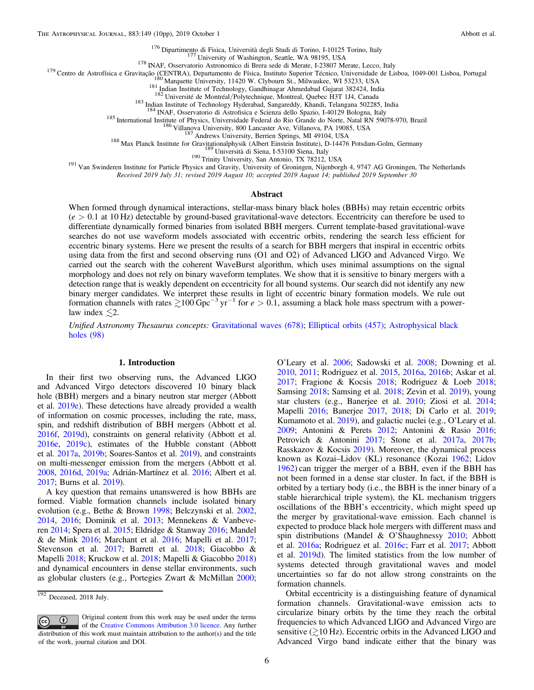<span id="page-5-0"></span><sup>176</sup> Dipartimento di Fisica, Università degli Studi di Torino, I-10125 Torino, Italy<br><sup>177</sup> University of Washington, Seattle, WA 98195, USA<br><sup>179</sup> Centro de Astrofísica e Gravitação (CENTRA), Departamento de Física, Insti

<sup>185</sup> International Institute of Physics, Universidade Federal do Rio Grande do Norte, Natal RN 59078-970, Brazil<br><sup>186</sup> Villanova University, 800 Lancaster Ave, Villanova, PA 19085, USA<br><sup>187</sup> Andrews University, Berrien S

Received 2019 July 31; revised 2019 August 10; accepted 2019 August 14; published 2019 September 30

#### Abstract

When formed through dynamical interactions, stellar-mass binary black holes (BBHs) may retain eccentric orbits  $(e > 0.1$  at 10 Hz) detectable by ground-based gravitational-wave detectors. Eccentricity can therefore be used to differentiate dynamically formed binaries from isolated BBH mergers. Current template-based gravitational-wave searches do not use waveform models associated with eccentric orbits, rendering the search less efficient for eccentric binary systems. Here we present the results of a search for BBH mergers that inspiral in eccentric orbits using data from the first and second observing runs (O1 and O2) of Advanced LIGO and Advanced Virgo. We carried out the search with the coherent WaveBurst algorithm, which uses minimal assumptions on the signal morphology and does not rely on binary waveform templates. We show that it is sensitive to binary mergers with a detection range that is weakly dependent on eccentricity for all bound systems. Our search did not identify any new binary merger candidates. We interpret these results in light of eccentric binary formation models. We rule out formation channels with rates  $\geq 100$  Gpc<sup>-3</sup> yr<sup>-1</sup> for  $e > 0.1$ , assuming a black hole mass spectrum with a powerlaw index  $\leq 2$ .

Unified Astronomy Thesaurus concepts: [Gravitational waves](http://astrothesaurus.org/uat/678) (678); [Elliptical orbits](http://astrothesaurus.org/uat/457) (457); [Astrophysical black](http://astrothesaurus.org/uat/98) [holes](http://astrothesaurus.org/uat/98) (98)

#### 1. Introduction

In their first two observing runs, the Advanced LIGO and Advanced Virgo detectors discovered 10 binary black hole (BBH) mergers and a binary neutron star merger (Abbott et al. [2019e](#page-9-0)). These detections have already provided a wealth of information on cosmic processes, including the rate, mass, spin, and redshift distribution of BBH mergers (Abbott et al. [2016f,](#page-9-0) [2019d](#page-9-0)), constraints on general relativity (Abbott et al. [2016e,](#page-9-0) [2019c](#page-9-0)), estimates of the Hubble constant (Abbott et al. [2017a,](#page-9-0) [2019b;](#page-9-0) Soares-Santos et al. [2019](#page-9-0)), and constraints on multi-messenger emission from the mergers (Abbott et al. [2008,](#page-9-0) [2016d,](#page-9-0) [2019a;](#page-9-0) Adrián-Martínez et al. [2016;](#page-9-0) Albert et al. [2017;](#page-9-0) Burns et al. [2019](#page-9-0)).

A key question that remains unanswered is how BBHs are formed. Viable formation channels include isolated binary evolution (e.g., Bethe & Brown [1998;](#page-9-0) Belczynski et al. [2002,](#page-9-0) [2014,](#page-9-0) [2016](#page-9-0); Dominik et al. [2013;](#page-9-0) Mennekens & Vanbeveren [2014](#page-9-0); Spera et al. [2015;](#page-9-0) Eldridge & Stanway [2016;](#page-9-0) Mandel & de Mink [2016](#page-9-0); Marchant et al. [2016;](#page-9-0) Mapelli et al. [2017](#page-9-0); Stevenson et al. [2017;](#page-9-0) Barrett et al. [2018](#page-9-0); Giacobbo & Mapelli [2018;](#page-9-0) Kruckow et al. [2018;](#page-9-0) Mapelli & Giacobbo [2018](#page-9-0)) and dynamical encounters in dense stellar environments, such as globular clusters (e.g., Portegies Zwart & McMillan [2000](#page-9-0);

Original content from this work may be used under the terms  $\bigcirc$  $|$  (cc) of the [Creative Commons Attribution 3.0 licence.](http://creativecommons.org/licenses/by/3.0/) Any further distribution of this work must maintain attribution to the author(s) and the title of the work, journal citation and DOI.

O'Leary et al. [2006;](#page-9-0) Sadowski et al. [2008;](#page-9-0) Downing et al. [2010,](#page-9-0) [2011](#page-9-0); Rodriguez et al. [2015](#page-9-0), [2016a](#page-9-0), [2016b;](#page-9-0) Askar et al. [2017;](#page-9-0) Fragione & Kocsis [2018](#page-9-0); Rodriguez & Loeb [2018](#page-9-0); Samsing [2018;](#page-9-0) Samsing et al. [2018;](#page-9-0) Zevin et al. [2019](#page-9-0)), young star clusters (e.g., Banerjee et al. [2010;](#page-9-0) Ziosi et al. [2014](#page-9-0); Mapelli [2016;](#page-9-0) Banerjee [2017,](#page-9-0) [2018](#page-9-0); Di Carlo et al. [2019](#page-9-0); Kumamoto et al. [2019](#page-9-0)), and galactic nuclei (e.g., O'Leary et al. [2009;](#page-9-0) Antonini & Perets [2012;](#page-9-0) Antonini & Rasio [2016](#page-9-0); Petrovich & Antonini [2017;](#page-9-0) Stone et al. [2017a](#page-9-0), [2017b](#page-9-0); Rasskazov & Kocsis [2019](#page-9-0)). Moreover, the dynamical process known as Kozai–Lidov (KL) resonance (Kozai [1962](#page-9-0); Lidov [1962](#page-9-0)) can trigger the merger of a BBH, even if the BBH has not been formed in a dense star cluster. In fact, if the BBH is orbited by a tertiary body (i.e., the BBH is the inner binary of a stable hierarchical triple system), the KL mechanism triggers oscillations of the BBH's eccentricity, which might speed up the merger by gravitational-wave emission. Each channel is expected to produce black hole mergers with different mass and spin distributions (Mandel & O'Shaughnessy [2010](#page-9-0); Abbott et al. [2016a](#page-9-0); Rodriguez et al. [2016c](#page-9-0); Farr et al. [2017](#page-9-0); Abbott et al. [2019d](#page-9-0)). The limited statistics from the low number of systems detected through gravitational waves and model uncertainties so far do not allow strong constraints on the formation channels.

Orbital eccentricity is a distinguishing feature of dynamical formation channels. Gravitational-wave emission acts to circularize binary orbits by the time they reach the orbital frequencies to which Advanced LIGO and Advanced Virgo are sensitive  $\geq 10$  Hz). Eccentric orbits in the Advanced LIGO and Advanced Virgo band indicate either that the binary was

 $192$  Deceased, 2018 July.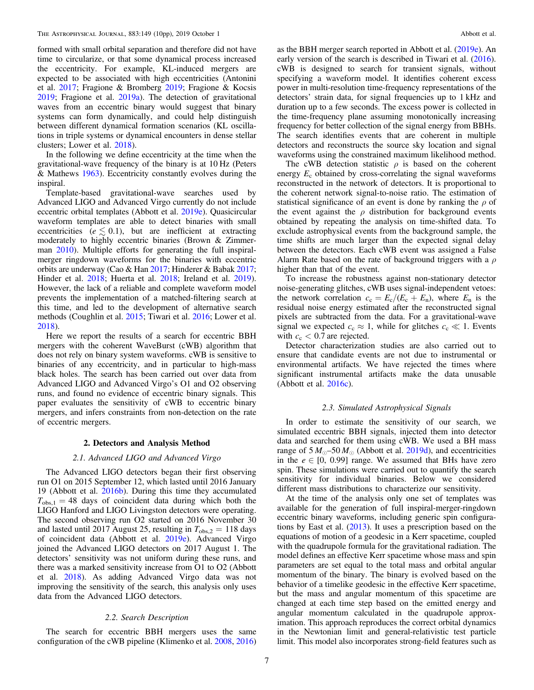<span id="page-6-0"></span>formed with small orbital separation and therefore did not have time to circularize, or that some dynamical process increased the eccentricity. For example, KL-induced mergers are expected to be associated with high eccentricities (Antonini et al. [2017;](#page-9-0) Fragione & Bromberg [2019](#page-9-0); Fragione & Kocsis [2019;](#page-9-0) Fragione et al. [2019a](#page-9-0)). The detection of gravitational waves from an eccentric binary would suggest that binary systems can form dynamically, and could help distinguish between different dynamical formation scenarios (KL oscillations in triple systems or dynamical encounters in dense stellar clusters; Lower et al. [2018](#page-9-0)).

In the following we define eccentricity at the time when the gravitational-wave frequency of the binary is at 10 Hz (Peters & Mathews [1963](#page-9-0)). Eccentricity constantly evolves during the inspiral.

Template-based gravitational-wave searches used by Advanced LIGO and Advanced Virgo currently do not include eccentric orbital templates (Abbott et al. [2019e](#page-9-0)). Quasicircular waveform templates are able to detect binaries with small eccentricities ( $e \lesssim 0.1$ ), but are inefficient at extracting moderately to highly eccentric binaries (Brown & Zimmer-man [2010](#page-9-0)). Multiple efforts for generating the full inspiralmerger ringdown waveforms for the binaries with eccentric orbits are underway (Cao & Han [2017](#page-9-0); Hinderer & Babak [2017](#page-9-0); Hinder et al. [2018](#page-9-0); Huerta et al. [2018;](#page-9-0) Ireland et al. [2019](#page-9-0)). However, the lack of a reliable and complete waveform model prevents the implementation of a matched-filtering search at this time, and led to the development of alternative search methods (Coughlin et al. [2015](#page-9-0); Tiwari et al. [2016;](#page-9-0) Lower et al. [2018](#page-9-0)).

Here we report the results of a search for eccentric BBH mergers with the coherent WaveBurst (cWB) algorithm that does not rely on binary system waveforms. cWB is sensitive to binaries of any eccentricity, and in particular to high-mass black holes. The search has been carried out over data from Advanced LIGO and Advanced Virgo's O1 and O2 observing runs, and found no evidence of eccentric binary signals. This paper evaluates the sensitivity of cWB to eccentric binary mergers, and infers constraints from non-detection on the rate of eccentric mergers.

#### 2. Detectors and Analysis Method

#### 2.1. Advanced LIGO and Advanced Virgo

The Advanced LIGO detectors began their first observing run O1 on 2015 September 12, which lasted until 2016 January 19 (Abbott et al. [2016b](#page-9-0)). During this time they accumulated  $T_{\text{obs,1}} = 48$  days of coincident data during which both the LIGO Hanford and LIGO Livingston detectors were operating. The second observing run O2 started on 2016 November 30 and lasted until 2017 August 25, resulting in  $T_{obs,2} = 118$  days of coincident data (Abbott et al. [2019e](#page-9-0)). Advanced Virgo joined the Advanced LIGO detectors on 2017 August 1. The detectors' sensitivity was not uniform during these runs, and there was a marked sensitivity increase from O1 to O2 (Abbott et al. [2018](#page-9-0)). As adding Advanced Virgo data was not improving the sensitivity of the search, this analysis only uses data from the Advanced LIGO detectors.

# 2.2. Search Description

The search for eccentric BBH mergers uses the same configuration of the cWB pipeline (Klimenko et al. [2008](#page-9-0), [2016](#page-9-0)) as the BBH merger search reported in Abbott et al. ([2019e](#page-9-0)). An early version of the search is described in Tiwari et al. ([2016](#page-9-0)). cWB is designed to search for transient signals, without specifying a waveform model. It identifies coherent excess power in multi-resolution time-frequency representations of the detectors' strain data, for signal frequencies up to 1 kHz and duration up to a few seconds. The excess power is collected in the time-frequency plane assuming monotonically increasing frequency for better collection of the signal energy from BBHs. The search identifies events that are coherent in multiple detectors and reconstructs the source sky location and signal waveforms using the constrained maximum likelihood method.

The cWB detection statistic  $\rho$  is based on the coherent energy  $E_c$  obtained by cross-correlating the signal waveforms reconstructed in the network of detectors. It is proportional to the coherent network signal-to-noise ratio. The estimation of statistical significance of an event is done by ranking the  $\rho$  of the event against the  $\rho$  distribution for background events obtained by repeating the analysis on time-shifted data. To exclude astrophysical events from the background sample, the time shifts are much larger than the expected signal delay between the detectors. Each cWB event was assigned a False Alarm Rate based on the rate of background triggers with a  $\rho$ higher than that of the event.

To increase the robustness against non-stationary detector noise-generating glitches, cWB uses signal-independent vetoes: the network correlation  $c_c = E_c/(E_c + E_n)$ , where  $E_n$  is the residual noise energy estimated after the reconstructed signal pixels are subtracted from the data. For a gravitational-wave signal we expected  $c_c \approx 1$ , while for glitches  $c_c \ll 1$ . Events with  $c_c < 0.7$  are rejected.

Detector characterization studies are also carried out to ensure that candidate events are not due to instrumental or environmental artifacts. We have rejected the times where significant instrumental artifacts make the data unusable (Abbott et al. [2016c](#page-9-0)).

# 2.3. Simulated Astrophysical Signals

In order to estimate the sensitivity of our search, we simulated eccentric BBH signals, injected them into detector data and searched for them using cWB. We used a BH mass range of  $5 M_{\odot}$ –50  $M_{\odot}$  (Abbott et al. [2019d](#page-9-0)), and eccentricities in the  $e \in [0, 0.99]$  range. We assumed that BHs have zero spin. These simulations were carried out to quantify the search sensitivity for individual binaries. Below we considered different mass distributions to characterize our sensitivity.

At the time of the analysis only one set of templates was available for the generation of full inspiral-merger-ringdown eccentric binary waveforms, including generic spin configurations by East et al. ([2013](#page-9-0)). It uses a prescription based on the equations of motion of a geodesic in a Kerr spacetime, coupled with the quadrupole formula for the gravitational radiation. The model defines an effective Kerr spacetime whose mass and spin parameters are set equal to the total mass and orbital angular momentum of the binary. The binary is evolved based on the behavior of a timelike geodesic in the effective Kerr spacetime, but the mass and angular momentum of this spacetime are changed at each time step based on the emitted energy and angular momentum calculated in the quadrupole approximation. This approach reproduces the correct orbital dynamics in the Newtonian limit and general-relativistic test particle limit. This model also incorporates strong-field features such as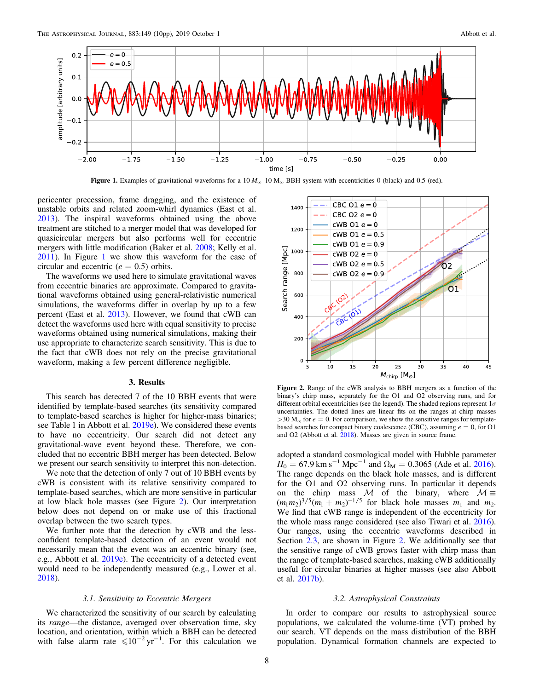

Figure 1. Examples of gravitational waveforms for a  $10 M_{\odot}$ –10 M<sub>o</sub> BBH system with eccentricities 0 (black) and 0.5 (red).

pericenter precession, frame dragging, and the existence of unstable orbits and related zoom-whirl dynamics (East et al. [2013](#page-9-0)). The inspiral waveforms obtained using the above treatment are stitched to a merger model that was developed for quasicircular mergers but also performs well for eccentric mergers with little modification (Baker et al. [2008;](#page-9-0) Kelly et al. [2011](#page-9-0)). In Figure 1 we show this waveform for the case of circular and eccentric ( $e = 0.5$ ) orbits.

The waveforms we used here to simulate gravitational waves from eccentric binaries are approximate. Compared to gravitational waveforms obtained using general-relativistic numerical simulations, the waveforms differ in overlap by up to a few percent (East et al. [2013](#page-9-0)). However, we found that cWB can detect the waveforms used here with equal sensitivity to precise waveforms obtained using numerical simulations, making their use appropriate to characterize search sensitivity. This is due to the fact that cWB does not rely on the precise gravitational waveform, making a few percent difference negligible.

# 3. Results

This search has detected 7 of the 10 BBH events that were identified by template-based searches (its sensitivity compared to template-based searches is higher for higher-mass binaries; see Table 1 in Abbott et al. [2019e](#page-9-0)). We considered these events to have no eccentricity. Our search did not detect any gravitational-wave event beyond these. Therefore, we concluded that no eccentric BBH merger has been detected. Below we present our search sensitivity to interpret this non-detection.

We note that the detection of only 7 out of 10 BBH events by cWB is consistent with its relative sensitivity compared to template-based searches, which are more sensitive in particular at low black hole masses (see Figure 2). Our interpretation below does not depend on or make use of this fractional overlap between the two search types.

We further note that the detection by cWB and the lessconfident template-based detection of an event would not necessarily mean that the event was an eccentric binary (see, e.g., Abbott et al. [2019e](#page-9-0)). The eccentricity of a detected event would need to be independently measured (e.g., Lower et al. [2018](#page-9-0)).

# 3.1. Sensitivity to Eccentric Mergers

We characterized the sensitivity of our search by calculating its range—the distance, averaged over observation time, sky location, and orientation, within which a BBH can be detected with false alarm rate  $\leq 10^{-2}$  yr<sup>-1</sup>. For this calculation we



Figure 2. Range of the cWB analysis to BBH mergers as a function of the binary's chirp mass, separately for the O1 and O2 observing runs, and for different orbital eccentricities (see the legend). The shaded regions represent  $1\sigma$ uncertainties. The dotted lines are linear fits on the ranges at chirp masses  $>30$  M<sub>o</sub> for  $e = 0$ . For comparison, we show the sensitive ranges for templatebased searches for compact binary coalescence (CBC), assuming  $e = 0$ , for O1 and O2 (Abbott et al. [2018](#page-9-0)). Masses are given in source frame.

adopted a standard cosmological model with Hubble parameter  $H_0 = 67.9 \text{ km s}^{-1} \text{ Mpc}^{-1}$  and  $\Omega_M = 0.3065$  (Ade et al. [2016](#page-9-0)). The range depends on the black hole masses, and is different for the O1 and O2 observing runs. In particular it depends on the chirp mass M of the binary, where  $M \equiv$  $(m_1 m_2)^{3/5} (m_1 + m_2)^{-1/5}$  for black hole masses  $m_1$  and  $m_2$ . We find that cWB range is independent of the eccentricity for the whole mass range considered (see also Tiwari et al. [2016](#page-9-0)). Our ranges, using the eccentric waveforms described in Section [2.3,](#page-6-0) are shown in Figure 2. We additionally see that the sensitive range of cWB grows faster with chirp mass than the range of template-based searches, making cWB additionally useful for circular binaries at higher masses (see also Abbott et al. [2017b](#page-9-0)).

# 3.2. Astrophysical Constraints

In order to compare our results to astrophysical source populations, we calculated the volume-time (VT) probed by our search. VT depends on the mass distribution of the BBH population. Dynamical formation channels are expected to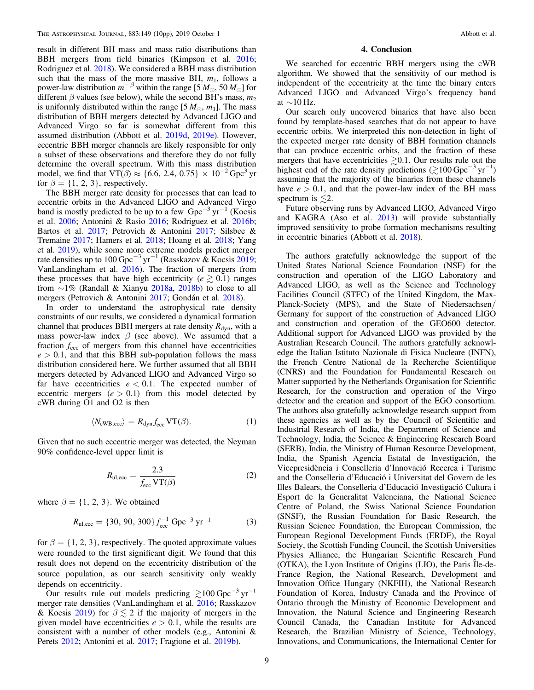result in different BH mass and mass ratio distributions than BBH mergers from field binaries (Kimpson et al. [2016](#page-9-0); Rodriguez et al. [2018](#page-9-0)). We considered a BBH mass distribution such that the mass of the more massive BH,  $m_1$ , follows a power-law distribution  $m^{-\beta}$  within the range [5  $M_{\odot}$ , 50  $M_{\odot}$ ] for different  $\beta$  values (see below), while the second BH's mass,  $m_2$ is uniformly distributed within the range  $[5 M_{\odot}, m_1]$ . The mass distribution of BBH mergers detected by Advanced LIGO and Advanced Virgo so far is somewhat different from this assumed distribution (Abbott et al. [2019d,](#page-9-0) [2019e](#page-9-0)). However, eccentric BBH merger channels are likely responsible for only a subset of these observations and therefore they do not fully determine the overall spectrum. With this mass distribution model, we find that  $VT(\beta) \approx \{6.6, 2.4, 0.75\} \times 10^{-2}$  Gpc<sup>3</sup> yr for  $\beta = \{1, 2, 3\}$ , respectively.

The BBH merger rate density for processes that can lead to eccentric orbits in the Advanced LIGO and Advanced Virgo band is mostly predicted to be up to a few  $Gpc^{-3}yr^{-1}$  (Kocsis et al. [2006](#page-9-0); Antonini & Rasio [2016;](#page-9-0) Rodriguez et al. [2016b](#page-9-0); Bartos et al. [2017;](#page-9-0) Petrovich & Antonini [2017;](#page-9-0) Silsbee & Tremaine [2017;](#page-9-0) Hamers et al. [2018](#page-9-0); Hoang et al. [2018](#page-9-0); Yang et al. [2019](#page-9-0)), while some more extreme models predict merger rate densities up to 100 Gpc<sup>-3</sup> yr<sup>-1</sup> (Rasskazov & Kocsis [2019](#page-9-0); VanLandingham et al. [2016](#page-9-0)). The fraction of mergers from these processes that have high eccentricity ( $e \ge 0.1$ ) ranges from ∼1% (Randall & Xianyu [2018a,](#page-9-0) [2018b](#page-9-0)) to close to all mergers (Petrovich & Antonini [2017;](#page-9-0) Gondán et al. [2018](#page-9-0)).

In order to understand the astrophysical rate density constraints of our results, we considered a dynamical formation channel that produces BBH mergers at rate density  $R_{dyn}$ , with a mass power-law index  $\beta$  (see above). We assumed that a fraction  $f_{\text{ecc}}$  of mergers from this channel have eccentricities  $e > 0.1$ , and that this BBH sub-population follows the mass distribution considered here. We further assumed that all BBH mergers detected by Advanced LIGO and Advanced Virgo so far have eccentricities  $e < 0.1$ . The expected number of eccentric mergers  $(e > 0.1)$  from this model detected by cWB during O1 and O2 is then

$$
\langle N_{\text{cWB,ecc}} \rangle = R_{\text{dyn}} f_{\text{ecc}} \text{VT}(\beta). \tag{1}
$$

Given that no such eccentric merger was detected, the Neyman 90% confidence-level upper limit is

$$
R_{\rm ul,ecc} = \frac{2.3}{f_{\rm ecc} \, \text{VT}(\beta)}\tag{2}
$$

where  $\beta = \{1, 2, 3\}$ . We obtained

$$
R_{\text{ul,ecc}} = \{30, 90, 300\} f_{\text{ecc}}^{-1} \text{ Gpc}^{-3} \text{ yr}^{-1} \tag{3}
$$

for  $\beta = \{1, 2, 3\}$ , respectively. The quoted approximate values were rounded to the first significant digit. We found that this result does not depend on the eccentricity distribution of the source population, as our search sensitivity only weakly depends on eccentricity.

Our results rule out models predicting  $\gtrsim$ 100 Gpc<sup>-3</sup> yr<sup>-1</sup> merger rate densities (VanLandingham et al. [2016;](#page-9-0) Rasskazov & Kocsis [2019](#page-9-0)) for  $\beta \lesssim 2$  if the majority of mergers in the given model have eccentricities  $e > 0.1$ , while the results are consistent with a number of other models (e.g., Antonini & Perets [2012](#page-9-0); Antonini et al. [2017;](#page-9-0) Fragione et al. [2019b](#page-9-0)).

# 4. Conclusion

We searched for eccentric BBH mergers using the cWB algorithm. We showed that the sensitivity of our method is independent of the eccentricity at the time the binary enters Advanced LIGO and Advanced Virgo's frequency band at  $\sim$ 10 Hz.

Our search only uncovered binaries that have also been found by template-based searches that do not appear to have eccentric orbits. We interpreted this non-detection in light of the expected merger rate density of BBH formation channels that can produce eccentric orbits, and the fraction of these mergers that have eccentricities  $\geq 0.1$ . Our results rule out the highest end of the rate density predictions ( $\gtrsim$ 100 Gpc<sup>-3</sup> yr<sup>-1</sup>) assuming that the majority of the binaries from these channels have  $e > 0.1$ , and that the power-law index of the BH mass spectrum is  $\leq 2$ .

Future observing runs by Advanced LIGO, Advanced Virgo and KAGRA (Aso et al. [2013](#page-9-0)) will provide substantially improved sensitivity to probe formation mechanisms resulting in eccentric binaries (Abbott et al. [2018](#page-9-0)).

The authors gratefully acknowledge the support of the United States National Science Foundation (NSF) for the construction and operation of the LIGO Laboratory and Advanced LIGO, as well as the Science and Technology Facilities Council (STFC) of the United Kingdom, the Max-Planck-Society (MPS), and the State of Niedersachsen/ Germany for support of the construction of Advanced LIGO and construction and operation of the GEO600 detector. Additional support for Advanced LIGO was provided by the Australian Research Council. The authors gratefully acknowledge the Italian Istituto Nazionale di Fisica Nucleare (INFN), the French Centre National de la Recherche Scientifique (CNRS) and the Foundation for Fundamental Research on Matter supported by the Netherlands Organisation for Scientific Research, for the construction and operation of the Virgo detector and the creation and support of the EGO consortium. The authors also gratefully acknowledge research support from these agencies as well as by the Council of Scientific and Industrial Research of India, the Department of Science and Technology, India, the Science & Engineering Research Board (SERB), India, the Ministry of Human Resource Development, India, the Spanish Agencia Estatal de Investigación, the Vicepresidència i Conselleria d'Innovació Recerca i Turisme and the Conselleria d'Educació i Universitat del Govern de les Illes Balears, the Conselleria d'Educació Investigació Cultura i Esport de la Generalitat Valenciana, the National Science Centre of Poland, the Swiss National Science Foundation (SNSF), the Russian Foundation for Basic Research, the Russian Science Foundation, the European Commission, the European Regional Development Funds (ERDF), the Royal Society, the Scottish Funding Council, the Scottish Universities Physics Alliance, the Hungarian Scientific Research Fund (OTKA), the Lyon Institute of Origins (LIO), the Paris Î le-de-France Region, the National Research, Development and Innovation Office Hungary (NKFIH), the National Research Foundation of Korea, Industry Canada and the Province of Ontario through the Ministry of Economic Development and Innovation, the Natural Science and Engineering Research Council Canada, the Canadian Institute for Advanced Research, the Brazilian Ministry of Science, Technology, Innovations, and Communications, the International Center for